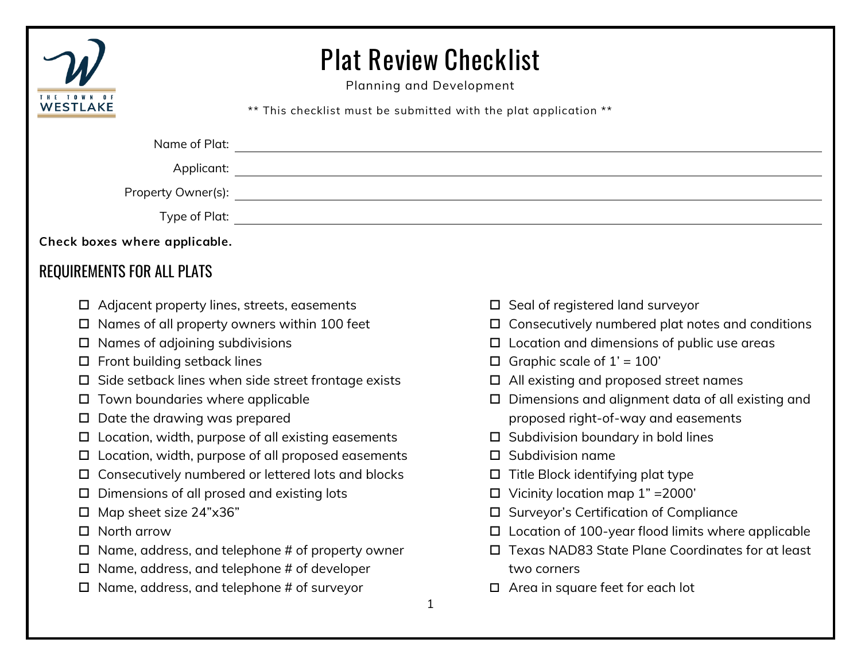

## Plat Review Checklist

Planning and Development

\*\* This checklist must be submitted with the plat application \*\*

| Name of Plat:                                                                                                                                                                                                                         |  |
|---------------------------------------------------------------------------------------------------------------------------------------------------------------------------------------------------------------------------------------|--|
|                                                                                                                                                                                                                                       |  |
| Property Owner(s): ______________                                                                                                                                                                                                     |  |
|                                                                                                                                                                                                                                       |  |
| Check boxes where applicable.                                                                                                                                                                                                         |  |
| REQUIREMENTS FOR ALL PLATS                                                                                                                                                                                                            |  |
| $\blacksquare$ and the contract of the contract of the contract of the contract of the contract of the contract of the contract of the contract of the contract of the contract of the contract of the contract of the contract of th |  |

- $\Box$  Adjacent property lines, streets, easements
- $\Box$  Names of all property owners within 100 feet
- $\square$  Names of adjoining subdivisions
- $\square$  Front building setback lines
- $\square$  Side setback lines when side street frontage exists
- $\square$  Town boundaries where applicable
- $\square$  Date the drawing was prepared
- $\square$  Location, width, purpose of all existing easements
- $\square$  Location, width, purpose of all proposed easements
- □ Consecutively numbered or lettered lots and blocks
- $\square$  Dimensions of all prosed and existing lots
- Map sheet size 24"x36"
- □ North arrow
- $\Box$  Name, address, and telephone # of property owner
- $\Box$  Name, address, and telephone # of developer
- $\Box$  Name, address, and telephone # of surveyor
- $\square$  Seal of registered land surveyor
- $\square$  Consecutively numbered plat notes and conditions
- $\square$  Location and dimensions of public use areas
- $\Box$  Graphic scale of  $1' = 100'$
- All existing and proposed street names
- $\square$  Dimensions and alignment data of all existing and proposed right-of-way and easements
- $\square$  Subdivision boundary in bold lines
- $\square$  Subdivision name
- $\Box$  Title Block identifying plat type
- $\Box$  Vicinity location map 1" = 2000'
- □ Surveyor's Certification of Compliance
- $\square$  Location of 100-year flood limits where applicable
- □ Texas NAD83 State Plane Coordinates for at least two corners
- □ Area in square feet for each lot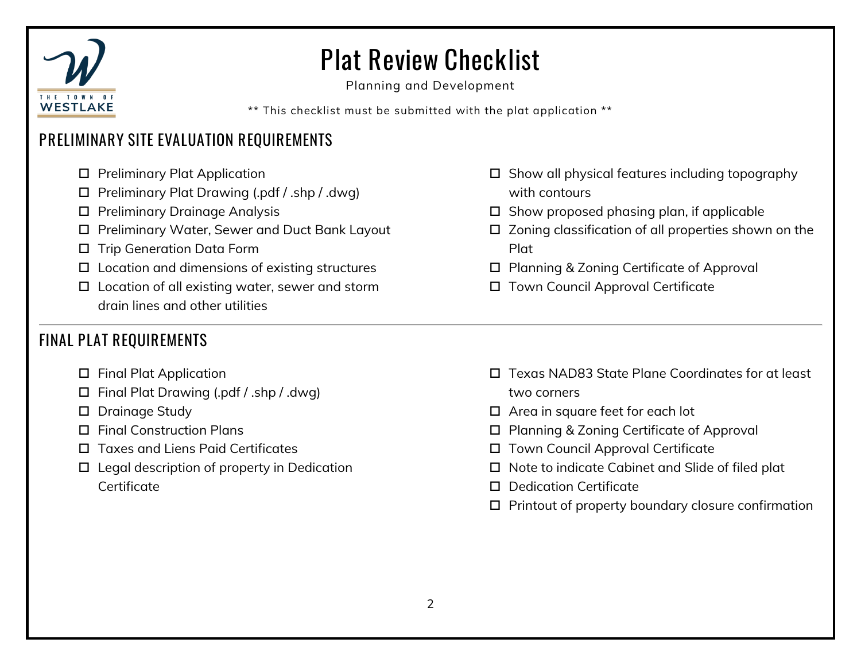

## Plat Review Checklist

Planning and Development

\*\* This checklist must be submitted with the plat application \*\*

### PRELIMINARY SITE EVALUATION REQUIREMENTS

- □ Preliminary Plat Application
- Preliminary Plat Drawing (.pdf / .shp / .dwg)
- □ Preliminary Drainage Analysis
- □ Preliminary Water, Sewer and Duct Bank Layout
- □ Trip Generation Data Form
- $\square$  Location and dimensions of existing structures
- Location of all existing water, sewer and storm drain lines and other utilities

### FINAL PLAT REQUIREMENTS

- □ Final Plat Application
- Final Plat Drawing (.pdf / .shp / .dwg)
- D Drainage Study
- Final Construction Plans
- □ Taxes and Liens Paid Certificates
- $\square$  Legal description of property in Dedication **Certificate**
- $\square$  Show all physical features including topography with contours
- $\square$  Show proposed phasing plan, if applicable
- □ Zoning classification of all properties shown on the Plat
- □ Planning & Zoning Certificate of Approval
- □ Town Council Approval Certificate

- □ Texas NAD83 State Plane Coordinates for at least two corners
- $\Box$  Area in square feet for each lot
- □ Planning & Zoning Certificate of Approval
- □ Town Council Approval Certificate
- $\square$  Note to indicate Cabinet and Slide of filed plat
- Dedication Certificate
- $\Box$  Printout of property boundary closure confirmation